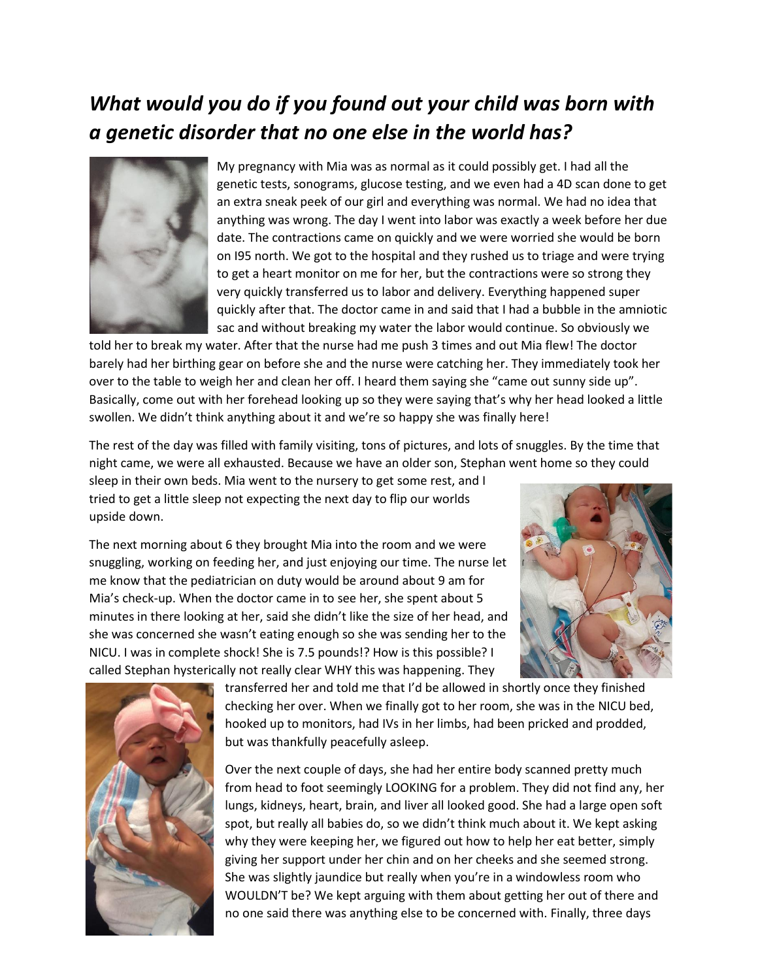## *What would you do if you found out your child was born with a genetic disorder that no one else in the world has?*



My pregnancy with Mia was as normal as it could possibly get. I had all the genetic tests, sonograms, glucose testing, and we even had a 4D scan done to get an extra sneak peek of our girl and everything was normal. We had no idea that anything was wrong. The day I went into labor was exactly a week before her due date. The contractions came on quickly and we were worried she would be born on I95 north. We got to the hospital and they rushed us to triage and were trying to get a heart monitor on me for her, but the contractions were so strong they very quickly transferred us to labor and delivery. Everything happened super quickly after that. The doctor came in and said that I had a bubble in the amniotic sac and without breaking my water the labor would continue. So obviously we

told her to break my water. After that the nurse had me push 3 times and out Mia flew! The doctor barely had her birthing gear on before she and the nurse were catching her. They immediately took her over to the table to weigh her and clean her off. I heard them saying she "came out sunny side up". Basically, come out with her forehead looking up so they were saying that's why her head looked a little swollen. We didn't think anything about it and we're so happy she was finally here!

The rest of the day was filled with family visiting, tons of pictures, and lots of snuggles. By the time that night came, we were all exhausted. Because we have an older son, Stephan went home so they could

sleep in their own beds. Mia went to the nursery to get some rest, and I tried to get a little sleep not expecting the next day to flip our worlds upside down.

The next morning about 6 they brought Mia into the room and we were snuggling, working on feeding her, and just enjoying our time. The nurse let me know that the pediatrician on duty would be around about 9 am for Mia's check-up. When the doctor came in to see her, she spent about 5 minutes in there looking at her, said she didn't like the size of her head, and she was concerned she wasn't eating enough so she was sending her to the NICU. I was in complete shock! She is 7.5 pounds!? How is this possible? I called Stephan hysterically not really clear WHY this was happening. They





transferred her and told me that I'd be allowed in shortly once they finished checking her over. When we finally got to her room, she was in the NICU bed, hooked up to monitors, had IVs in her limbs, had been pricked and prodded, but was thankfully peacefully asleep.

Over the next couple of days, she had her entire body scanned pretty much from head to foot seemingly LOOKING for a problem. They did not find any, her lungs, kidneys, heart, brain, and liver all looked good. She had a large open soft spot, but really all babies do, so we didn't think much about it. We kept asking why they were keeping her, we figured out how to help her eat better, simply giving her support under her chin and on her cheeks and she seemed strong. She was slightly jaundice but really when you're in a windowless room who WOULDN'T be? We kept arguing with them about getting her out of there and no one said there was anything else to be concerned with. Finally, three days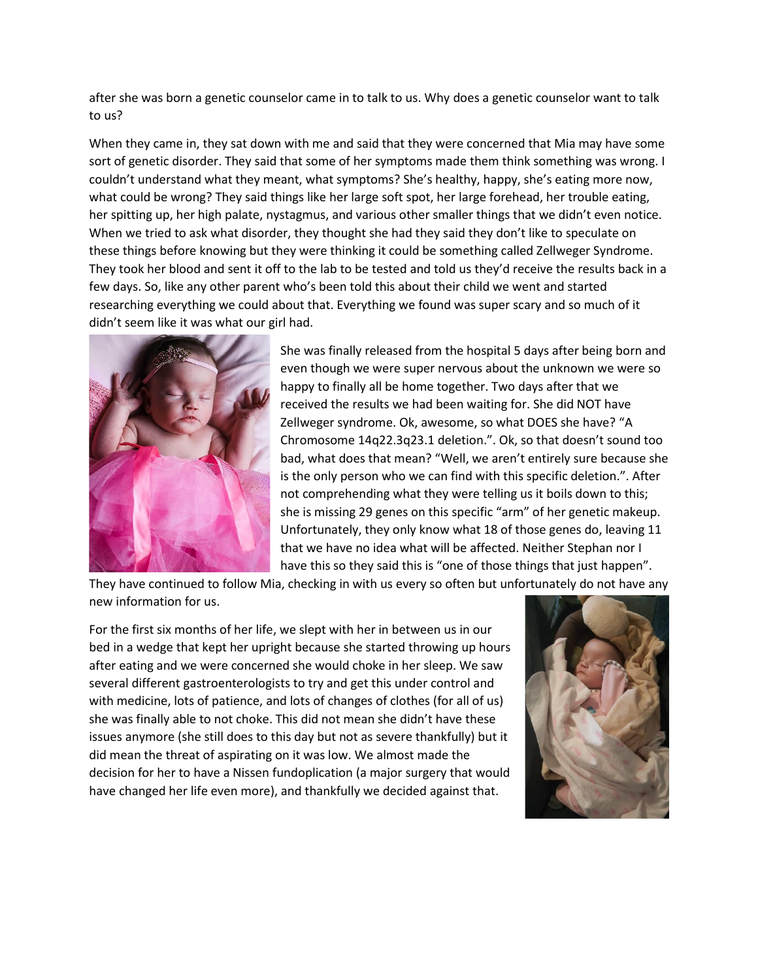after she was born a genetic counselor came in to talk to us. Why does a genetic counselor want to talk to us?

When they came in, they sat down with me and said that they were concerned that Mia may have some sort of genetic disorder. They said that some of her symptoms made them think something was wrong. I couldn't understand what they meant, what symptoms? She's healthy, happy, she's eating more now, what could be wrong? They said things like her large soft spot, her large forehead, her trouble eating, her spitting up, her high palate, nystagmus, and various other smaller things that we didn't even notice. When we tried to ask what disorder, they thought she had they said they don't like to speculate on these things before knowing but they were thinking it could be something called Zellweger Syndrome. They took her blood and sent it off to the lab to be tested and told us they'd receive the results back in a few days. So, like any other parent who's been told this about their child we went and started researching everything we could about that. Everything we found was super scary and so much of it didn't seem like it was what our girl had.



She was finally released from the hospital 5 days after being born and even though we were super nervous about the unknown we were so happy to finally all be home together. Two days after that we received the results we had been waiting for. She did NOT have Zellweger syndrome. Ok, awesome, so what DOES she have? "A Chromosome 14q22.3q23.1 deletion.". Ok, so that doesn't sound too bad, what does that mean? "Well, we aren't entirely sure because she is the only person who we can find with this specific deletion.". After not comprehending what they were telling us it boils down to this; she is missing 29 genes on this specific "arm" of her genetic makeup. Unfortunately, they only know what 18 of those genes do, leaving 11 that we have no idea what will be affected. Neither Stephan nor I have this so they said this is "one of those things that just happen".

They have continued to follow Mia, checking in with us every so often but unfortunately do not have any new information for us.

For the first six months of her life, we slept with her in between us in our bed in a wedge that kept her upright because she started throwing up hours after eating and we were concerned she would choke in her sleep. We saw several different gastroenterologists to try and get this under control and with medicine, lots of patience, and lots of changes of clothes (for all of us) she was finally able to not choke. This did not mean she didn't have these issues anymore (she still does to this day but not as severe thankfully) but it did mean the threat of aspirating on it was low. We almost made the decision for her to have a Nissen fundoplication (a major surgery that would have changed her life even more), and thankfully we decided against that.